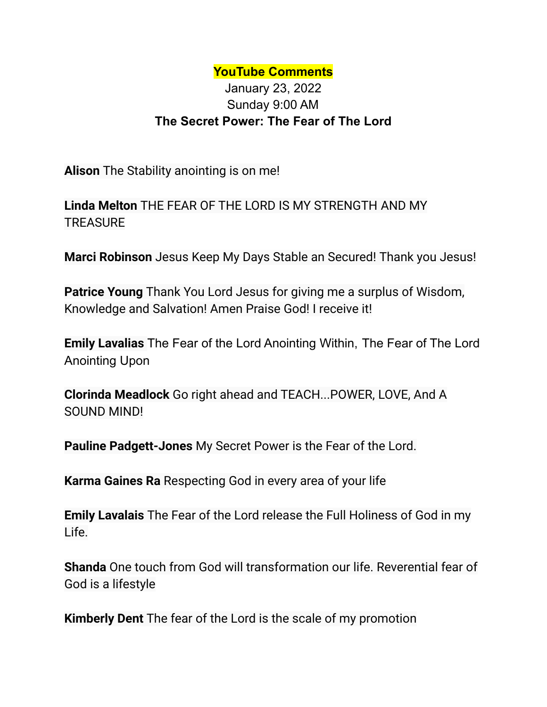## **YouTube Comments**

## January 23, 2022 Sunday 9:00 AM **The Secret Power: The Fear of The Lord**

**Alison** The Stability anointing is on me!

**Linda Melton** THE FEAR OF THE LORD IS MY STRENGTH AND MY **TREASURE** 

**Marci Robinson** Jesus Keep My Days Stable an Secured! Thank you Jesus!

**Patrice Young** Thank You Lord Jesus for giving me a surplus of Wisdom, Knowledge and Salvation! Amen Praise God! I receive it!

**Emily Lavalias** The Fear of the Lord Anointing Within, The Fear of The Lord Anointing Upon

**Clorinda Meadlock** Go right ahead and TEACH...POWER, LOVE, And A SOUND MIND!

**Pauline Padgett-Jones** My Secret Power is the Fear of the Lord.

**Karma Gaines Ra** Respecting God in every area of your life

**Emily Lavalais** The Fear of the Lord release the Full Holiness of God in my Life.

**Shanda** One touch from God will transformation our life. Reverential fear of God is a lifestyle

**Kimberly Dent** The fear of the Lord is the scale of my promotion